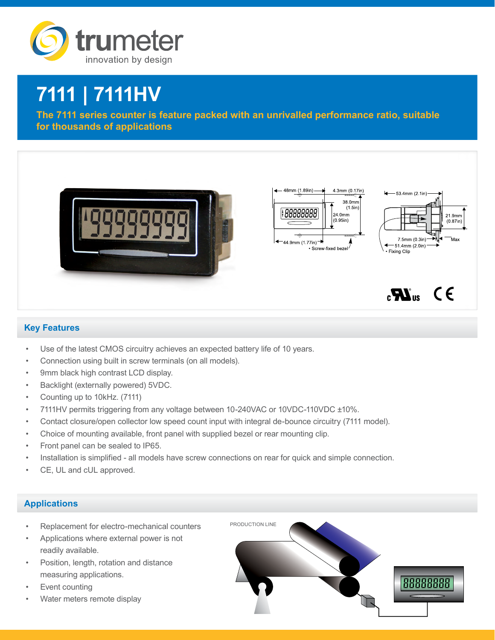

# **7111 | 7111HV**

**The 7111 series counter is feature packed with an unrivalled performance ratio, suitable for thousands of applications**



## **Key Features**

- Use of the latest CMOS circuitry achieves an expected battery life of 10 years.
- Connection using built in screw terminals (on all models).
- 9mm black high contrast LCD display.
- Backlight (externally powered) 5VDC.
- Counting up to 10kHz. (7111)
- 7111HV permits triggering from any voltage between 10-240VAC or 10VDC-110VDC ±10%.
- Contact closure/open collector low speed count input with integral de-bounce circuitry (7111 model).
- Choice of mounting available, front panel with supplied bezel or rear mounting clip.
- Front panel can be sealed to IP65.
- Installation is simplified all models have screw connections on rear for quick and simple connection.
- CE, UL and cUL approved.

## **Applications**

- Replacement for electro-mechanical counters
- Applications where external power is not readily available.
- Position, length, rotation and distance measuring applications.
- Event counting
- Water meters remote display